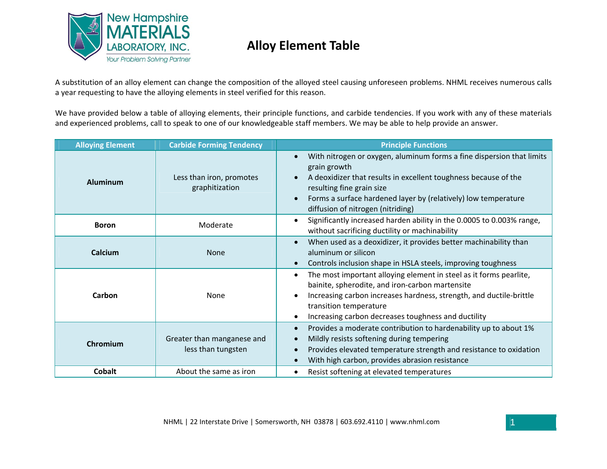

A substitution of an alloy element can change the composition of the alloyed steel causing unforeseen problems. NHML receives numerous calls a year requesting to have the alloying elements in steel verified for this reason.

We have provided below <sup>a</sup> table of alloying elements, their principle functions, and carbide tendencies. If you work with any of these materials and experienced problems, call to speak to one of our knowledgeable staff members. We may be able to help provide an answer.

| <b>Alloying Element</b> | <b>Carbide Forming Tendency</b>                  | <b>Principle Functions</b>                                                                                                                                                                                                                                                                   |
|-------------------------|--------------------------------------------------|----------------------------------------------------------------------------------------------------------------------------------------------------------------------------------------------------------------------------------------------------------------------------------------------|
| <b>Aluminum</b>         | Less than iron, promotes<br>graphitization       | With nitrogen or oxygen, aluminum forms a fine dispersion that limits<br>grain growth<br>A deoxidizer that results in excellent toughness because of the<br>resulting fine grain size<br>Forms a surface hardened layer by (relatively) low temperature<br>diffusion of nitrogen (nitriding) |
| <b>Boron</b>            | Moderate                                         | Significantly increased harden ability in the 0.0005 to 0.003% range,<br>$\bullet$<br>without sacrificing ductility or machinability                                                                                                                                                         |
| Calcium                 | <b>None</b>                                      | When used as a deoxidizer, it provides better machinability than<br>aluminum or silicon<br>Controls inclusion shape in HSLA steels, improving toughness                                                                                                                                      |
| Carbon                  | None                                             | The most important alloying element in steel as it forms pearlite,<br>$\bullet$<br>bainite, spherodite, and iron-carbon martensite<br>Increasing carbon increases hardness, strength, and ductile-brittle<br>transition temperature<br>Increasing carbon decreases toughness and ductility   |
| Chromium                | Greater than manganese and<br>less than tungsten | Provides a moderate contribution to hardenability up to about 1%<br>Mildly resists softening during tempering<br>Provides elevated temperature strength and resistance to oxidation<br>With high carbon, provides abrasion resistance                                                        |
| <b>Cobalt</b>           | About the same as iron                           | Resist softening at elevated temperatures                                                                                                                                                                                                                                                    |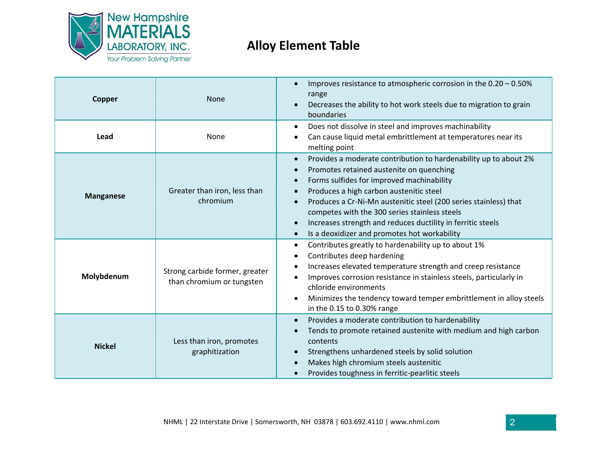

| Copper           | <b>None</b>                                                 | Improves resistance to atmospheric corrosion in the 0.20 - 0.50%<br>range<br>Decreases the ability to hot work steels due to migration to grain<br>boundaries                                                                                                                                                                                                                                                                                                                                             |
|------------------|-------------------------------------------------------------|-----------------------------------------------------------------------------------------------------------------------------------------------------------------------------------------------------------------------------------------------------------------------------------------------------------------------------------------------------------------------------------------------------------------------------------------------------------------------------------------------------------|
| Lead             | None                                                        | Does not dissolve in steel and improves machinability<br>$\bullet$<br>Can cause liquid metal embrittlement at temperatures near its<br>melting point                                                                                                                                                                                                                                                                                                                                                      |
| <b>Manganese</b> | Greater than iron, less than<br>chromium                    | Provides a moderate contribution to hardenability up to about 2%<br>$\bullet$<br>Promotes retained austenite on quenching<br>$\bullet$<br>Forms sulfides for improved machinability<br>$\bullet$<br>Produces a high carbon austenitic steel<br>Produces a Cr-Ni-Mn austenitic steel (200 series stainless) that<br>competes with the 300 series stainless steels<br>Increases strength and reduces ductility in ferritic steels<br>$\bullet$<br>Is a deoxidizer and promotes hot workability<br>$\bullet$ |
| Molybdenum       | Strong carbide former, greater<br>than chromium or tungsten | Contributes greatly to hardenability up to about 1%<br>$\bullet$<br>Contributes deep hardening<br>Increases elevated temperature strength and creep resistance<br>Improves corrosion resistance in stainless steels, particularly in<br>chloride environments<br>Minimizes the tendency toward temper embrittlement in alloy steels<br>٠<br>in the 0.15 to 0.30% range                                                                                                                                    |
| <b>Nickel</b>    | Less than iron, promotes<br>graphitization                  | Provides a moderate contribution to hardenability<br>$\bullet$<br>Tends to promote retained austenite with medium and high carbon<br>$\bullet$<br>contents<br>Strengthens unhardened steels by solid solution<br>Makes high chromium steels austenitic<br>Provides toughness in ferritic-pearlitic steels                                                                                                                                                                                                 |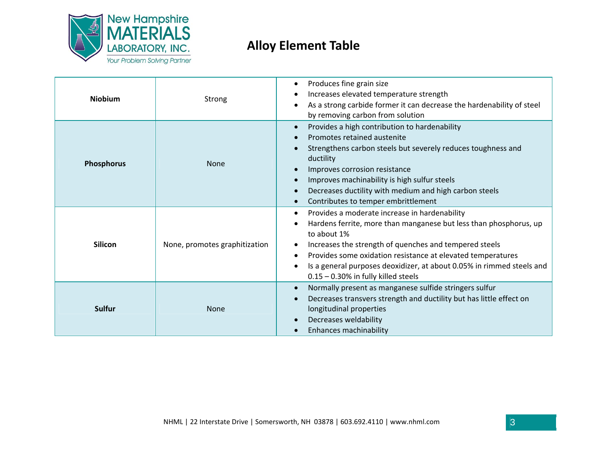

| <b>Niobium</b> | Strong                        | Produces fine grain size<br>Increases elevated temperature strength<br>As a strong carbide former it can decrease the hardenability of steel<br>by removing carbon from solution                                                                                                                                                                                              |
|----------------|-------------------------------|-------------------------------------------------------------------------------------------------------------------------------------------------------------------------------------------------------------------------------------------------------------------------------------------------------------------------------------------------------------------------------|
| Phosphorus     | <b>None</b>                   | Provides a high contribution to hardenability<br>$\bullet$<br>Promotes retained austenite<br>Strengthens carbon steels but severely reduces toughness and<br>ductility<br>Improves corrosion resistance<br>Improves machinability is high sulfur steels<br>Decreases ductility with medium and high carbon steels<br>Contributes to temper embrittlement                      |
| <b>Silicon</b> | None, promotes graphitization | Provides a moderate increase in hardenability<br>Hardens ferrite, more than manganese but less than phosphorus, up<br>to about 1%<br>Increases the strength of quenches and tempered steels<br>Provides some oxidation resistance at elevated temperatures<br>Is a general purposes deoxidizer, at about 0.05% in rimmed steels and<br>$0.15 - 0.30\%$ in fully killed steels |
| <b>Sulfur</b>  | <b>None</b>                   | Normally present as manganese sulfide stringers sulfur<br>Decreases transvers strength and ductility but has little effect on<br>longitudinal properties<br>Decreases weldability<br>Enhances machinability                                                                                                                                                                   |